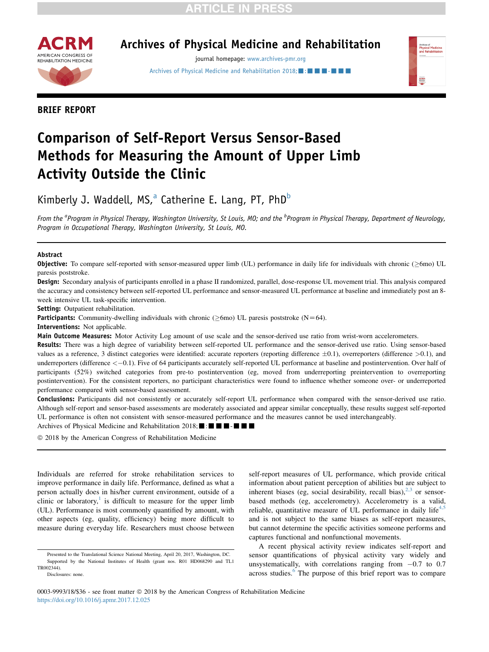## **RTICLE IN PRESS**



### Archives of Physical Medicine and Rehabilitation

journal homepage: [www.archives-pmr.org](http://www.archives-pmr.org)

[Archives of Physical Medicine and Rehabilitation 2018;](https://doi.org/10.1016/j.apmr.2017.12.025) $\blacksquare$ : $\blacksquare$  $\blacksquare$ - $\blacksquare$ 



BRIEF REPORT

# Comparison of Self-Report Versus Sensor-Based Methods for Measuring the Amount of Upper Limb Activity Outside the Clinic

Kimberly J. Waddell, MS, $^a$  Catherine E. Lang, PT, PhD<sup>b</sup>

From the <sup>a</sup>Program in Physical Therapy, Washington University, St Louis, MO; and the <sup>b</sup>Program in Physical Therapy, Department of Neurology, Program in Occupational Therapy, Washington University, St Louis, MO.

#### Abstract

**Objective:** To compare self-reported with sensor-measured upper limb (UL) performance in daily life for individuals with chronic ( $\geq$ 6mo) UL paresis poststroke.

Design: Secondary analysis of participants enrolled in a phase II randomized, parallel, dose-response UL movement trial. This analysis compared the accuracy and consistency between self-reported UL performance and sensor-measured UL performance at baseline and immediately post an 8 week intensive UL task-specific intervention.

Setting: Outpatient rehabilitation.

**Participants:** Community-dwelling individuals with chronic ( $\geq$ 6mo) UL paresis poststroke (N=64).

Interventions: Not applicable.

Main Outcome Measures: Motor Activity Log amount of use scale and the sensor-derived use ratio from wrist-worn accelerometers.

Results: There was a high degree of variability between self-reported UL performance and the sensor-derived use ratio. Using sensor-based values as a reference, 3 distinct categories were identified: accurate reporters (reporting difference  $\pm 0.1$ ), overreporters (difference  $>0.1$ ), and underreporters (difference  $\langle -0.1 \rangle$ . Five of 64 participants accurately self-reported UL performance at baseline and postintervention. Over half of participants (52%) switched categories from pre-to postintervention (eg, moved from underreporting preintervention to overreporting postintervention). For the consistent reporters, no participant characteristics were found to influence whether someone over- or underreported performance compared with sensor-based assessment.

Conclusions: Participants did not consistently or accurately self-report UL performance when compared with the sensor-derived use ratio. Although self-report and sensor-based assessments are moderately associated and appear similar conceptually, these results suggest self-reported UL performance is often not consistent with sensor-measured performance and the measures cannot be used interchangeably.

Archives of Physical Medicine and Rehabilitation 2018;  $\blacksquare$ :  $\blacksquare$   $\blacksquare$   $\blacksquare$   $\blacksquare$ 

 $©$  2018 by the American Congress of Rehabilitation Medicine

Individuals are referred for stroke rehabilitation services to improve performance in daily life. Performance, defined as what a person actually does in his/her current environment, outside of a clinic or laboratory, $\frac{1}{1}$  $\frac{1}{1}$  $\frac{1}{1}$  is difficult to measure for the upper limb (UL). Performance is most commonly quantified by amount, with other aspects (eg, quality, efficiency) being more difficult to measure during everyday life. Researchers must choose between

self-report measures of UL performance, which provide critical information about patient perception of abilities but are subject to inherent biases (eg, social desirability, recall bias), $2,3$  or sensorbased methods (eg, accelerometry). Accelerometry is a valid, reliable, quantitative measure of UL performance in daily life $4.5$ and is not subject to the same biases as self-report measures, but cannot determine the specific activities someone performs and captures functional and nonfunctional movements.

A recent physical activity review indicates self-report and sensor quantifications of physical activity vary widely and unsystematically, with correlations ranging from  $-0.7$  to 0.7 across studies.<sup>[6](#page--1-0)</sup> The purpose of this brief report was to compare

Presented to the Translational Science National Meeting, April 20, 2017, Washington, DC. Supported by the National Institutes of Health (grant nos. R01 HD068290 and TL1 TR002344).

Disclosures: none.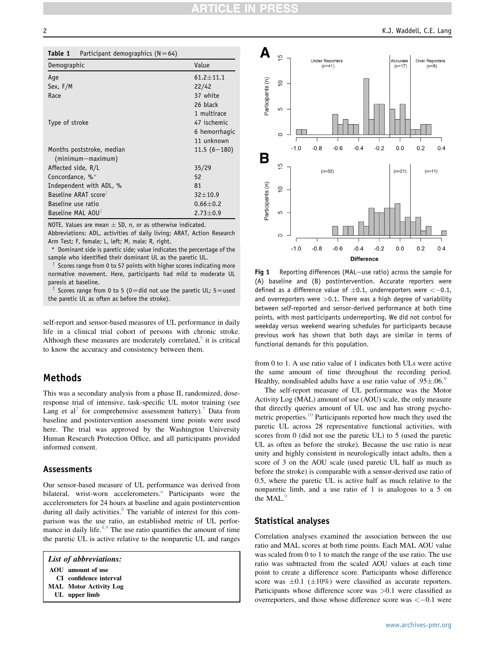| Table 1 | Participant demographics $(N=64)$ |  |
|---------|-----------------------------------|--|
|---------|-----------------------------------|--|

| Demographic                      | Value           |
|----------------------------------|-----------------|
| Age                              | $61.2 \pm 11.1$ |
| Sex, F/M                         | 22/42           |
| Race                             | 37 white        |
|                                  | 26 black        |
|                                  | 1 multirace     |
| Type of stroke                   | 47 ischemic     |
|                                  | 6 hemorrhagic   |
|                                  | 11 unknown      |
| Months poststroke, median        | $11.5(6 - 180)$ |
| $(minnum-maximum)$               |                 |
| Affected side, R/L               | 35/29           |
| Concordance, %*                  | 52              |
| Independent with ADL, %          | 81              |
| Baseline ARAT score <sup>†</sup> | $32 + 10.9$     |
| Baseline use ratio               | $0.66 \pm 0.2$  |
| Baseline MAL AOU <sup>T</sup>    | $2.73 \pm 0.9$  |

NOTE. Values are mean  $\pm$  SD, n, or as otherwise indicated.

Abbreviations: ADL, activities of daily living; ARAT, Action Research Arm Test; F, female; L, left; M, male; R, right.

Dominant side is paretic side; value indicates the percentage of the sample who identified their dominant UL as the paretic UL.

Scores range from 0 to 57 points with higher scores indicating more normative movement. Here, participants had mild to moderate UL paresis at baseline.

Scores range from 0 to 5 (0=did not use the paretic UL;  $5$  = used the paretic UL as often as before the stroke).

self-report and sensor-based measures of UL performance in daily life in a clinical trial cohort of persons with chronic stroke. Although these measures are moderately correlated, $5$  it is critical to know the accuracy and consistency between them.

#### Methods

This was a secondary analysis from a phase II, randomized, doseresponse trial of intensive, task-specific UL motor training (see Lang et al<sup>[7](#page--1-0)</sup> for comprehensive assessment battery).<sup>7</sup> Data from baseline and postintervention assessment time points were used here. The trial was approved by the Washington University Human Research Protection Office, and all participants provided informed consent.

#### Assessments

Our sensor-based measure of UL performance was derived from bilateral, wrist-worn accelerometers.<sup>a</sup> Participants wore the accelerometers for 24 hours at baseline and again postintervention during all daily activities.<sup>[8](#page--1-0)</sup> The variable of interest for this comparison was the use ratio, an established metric of UL performance in daily life. $4,9$  The use ratio quantifies the amount of time the paretic UL is active relative to the nonparetic UL and ranges

List of abbreviations: AOU amount of use CI confidence interval MAL Motor Activity Log UL upper limb



Fig 1 Reporting differences (MAL-use ratio) across the sample for (A) baseline and (B) postintervention. Accurate reporters were defined as a difference value of  $\pm 0.1$ , underreporters were  $<-0.1$ , and overreporters were  $>0.1$ . There was a high degree of variability between self-reported and sensor-derived performance at both time points, with most participants underreporting. We did not control for weekday versus weekend wearing schedules for participants because previous work has shown that both days are similar in terms of functional demands for this population.

from 0 to 1. A use ratio value of 1 indicates both ULs were active the same amount of time throughout the recording period. Healthy, nondisabled adults have a use ratio value of  $.95\pm.06$  $.95\pm.06$  $.95\pm.06$ .

The self-report measure of UL performance was the Motor Activity Log (MAL) amount of use (AOU) scale, the only measure that directly queries amount of UL use and has strong psycho-metric properties.<sup>[10](#page--1-0)</sup> Participants reported how much they used the paretic UL across 28 representative functional activities, with scores from 0 (did not use the paretic UL) to 5 (used the paretic UL as often as before the stroke). Because the use ratio is near unity and highly consistent in neurologically intact adults, then a score of 3 on the AOU scale (used paretic UL half as much as before the stroke) is comparable with a sensor-derived use ratio of 0.5, where the paretic UL is active half as much relative to the nonparetic limb, and a use ratio of 1 is analogous to a 5 on the MAL.<sup>[9](#page--1-0)</sup>

#### Statistical analyses

Correlation analyses examined the association between the use ratio and MAL scores at both time points. Each MAL AOU value was scaled from 0 to 1 to match the range of the use ratio. The use ratio was subtracted from the scaled AOU values at each time point to create a difference score. Participants whose difference score was  $\pm 0.1$  ( $\pm 10\%$ ) were classified as accurate reporters. Participants whose difference score was >0.1 were classified as overreporters, and those whose difference score was  $<-0.1$  were